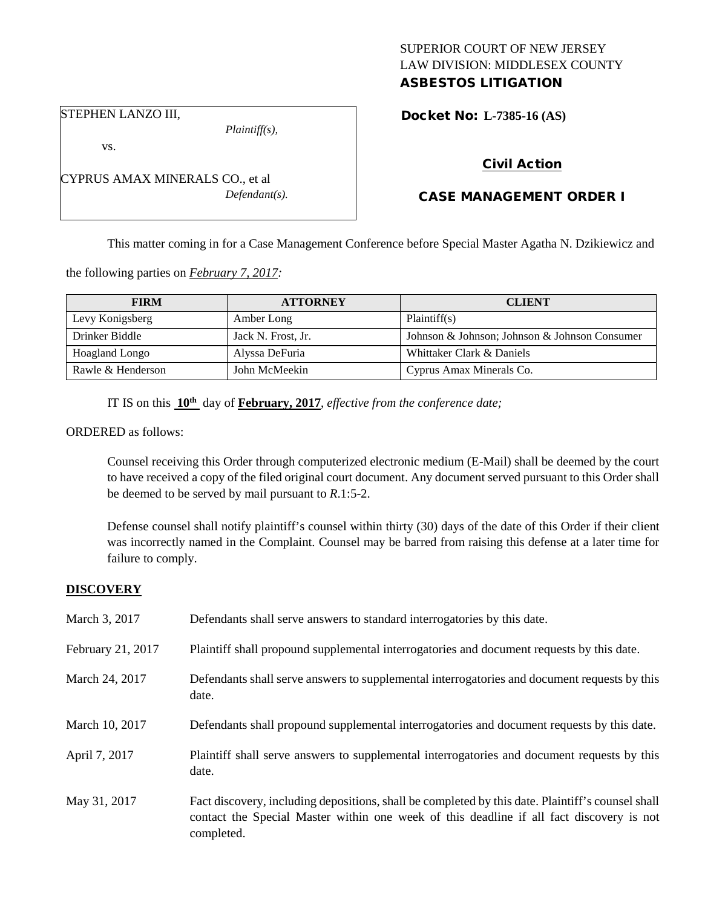# SUPERIOR COURT OF NEW JERSEY LAW DIVISION: MIDDLESEX COUNTY

## ASBESTOS LITIGATION

STEPHEN LANZO III,

vs.

*Plaintiff(s),*

CYPRUS AMAX MINERALS CO., et al *Defendant(s).* Docket No: **L-7385-16 (AS)** 

## Civil Action

## CASE MANAGEMENT ORDER I

This matter coming in for a Case Management Conference before Special Master Agatha N. Dzikiewicz and

the following parties on *February 7, 2017:*

| <b>FIRM</b>       | <b>ATTORNEY</b>    | <b>CLIENT</b>                                 |
|-------------------|--------------------|-----------------------------------------------|
| Levy Konigsberg   | Amber Long         | Plaintiff(s)                                  |
| Drinker Biddle    | Jack N. Frost, Jr. | Johnson & Johnson; Johnson & Johnson Consumer |
| Hoagland Longo    | Alyssa DeFuria     | Whittaker Clark & Daniels                     |
| Rawle & Henderson | John McMeekin      | Cyprus Amax Minerals Co.                      |

IT IS on this **10th** day of **February, 2017**, *effective from the conference date;*

ORDERED as follows:

Counsel receiving this Order through computerized electronic medium (E-Mail) shall be deemed by the court to have received a copy of the filed original court document. Any document served pursuant to this Order shall be deemed to be served by mail pursuant to *R*.1:5-2.

Defense counsel shall notify plaintiff's counsel within thirty (30) days of the date of this Order if their client was incorrectly named in the Complaint. Counsel may be barred from raising this defense at a later time for failure to comply.

#### **DISCOVERY**

| March 3, 2017     | Defendants shall serve answers to standard interrogatories by this date.                                                                                                                                    |
|-------------------|-------------------------------------------------------------------------------------------------------------------------------------------------------------------------------------------------------------|
| February 21, 2017 | Plaintiff shall propound supplemental interrogatories and document requests by this date.                                                                                                                   |
| March 24, 2017    | Defendants shall serve answers to supplemental interrogatories and document requests by this<br>date.                                                                                                       |
| March 10, 2017    | Defendants shall propound supplemental interrogatories and document requests by this date.                                                                                                                  |
| April 7, 2017     | Plaintiff shall serve answers to supplemental interrogatories and document requests by this<br>date.                                                                                                        |
| May 31, 2017      | Fact discovery, including depositions, shall be completed by this date. Plaintiff's counsel shall<br>contact the Special Master within one week of this deadline if all fact discovery is not<br>completed. |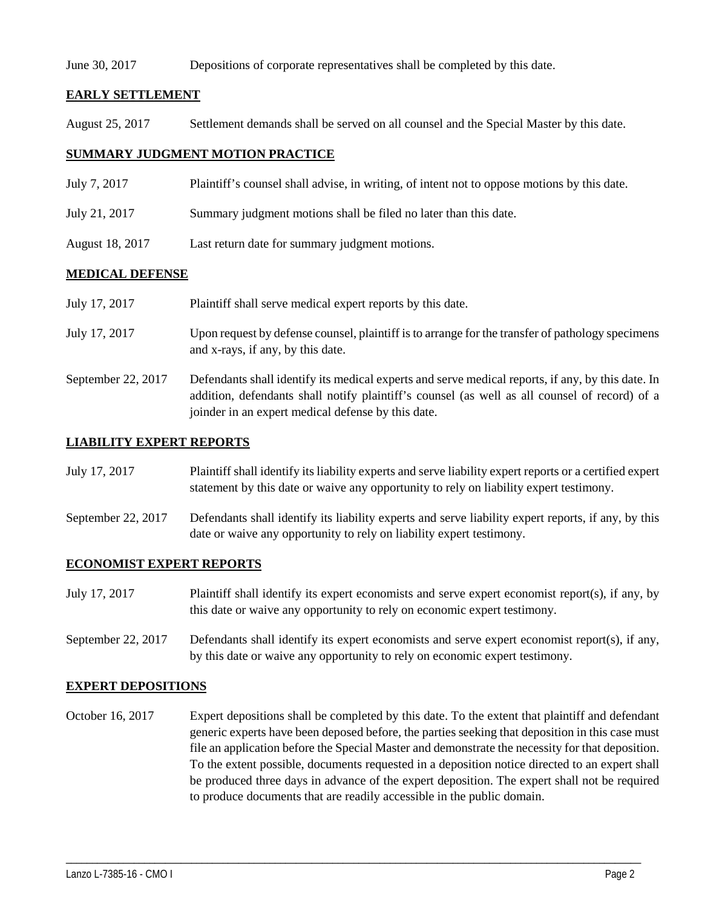#### June 30, 2017 Depositions of corporate representatives shall be completed by this date.

#### **EARLY SETTLEMENT**

August 25, 2017 Settlement demands shall be served on all counsel and the Special Master by this date.

#### **SUMMARY JUDGMENT MOTION PRACTICE**

- July 7, 2017 Plaintiff's counsel shall advise, in writing, of intent not to oppose motions by this date.
- July 21, 2017 Summary judgment motions shall be filed no later than this date.

joinder in an expert medical defense by this date.

August 18, 2017 Last return date for summary judgment motions.

#### **MEDICAL DEFENSE**

| July 17, 2017      | Plaintiff shall serve medical expert reports by this date.                                                                                                                                         |
|--------------------|----------------------------------------------------------------------------------------------------------------------------------------------------------------------------------------------------|
| July 17, 2017      | Upon request by defense counsel, plaintiff is to arrange for the transfer of pathology specimens<br>and x-rays, if any, by this date.                                                              |
| September 22, 2017 | Defendants shall identify its medical experts and serve medical reports, if any, by this date. In<br>addition, defendants shall notify plaintiff's counsel (as well as all counsel of record) of a |

#### **LIABILITY EXPERT REPORTS**

July 17, 2017 Plaintiff shall identify its liability experts and serve liability expert reports or a certified expert statement by this date or waive any opportunity to rely on liability expert testimony.

September 22, 2017 Defendants shall identify its liability experts and serve liability expert reports, if any, by this date or waive any opportunity to rely on liability expert testimony.

#### **ECONOMIST EXPERT REPORTS**

- July 17, 2017 Plaintiff shall identify its expert economists and serve expert economist report(s), if any, by this date or waive any opportunity to rely on economic expert testimony.
- September 22, 2017 Defendants shall identify its expert economists and serve expert economist report(s), if any, by this date or waive any opportunity to rely on economic expert testimony.

#### **EXPERT DEPOSITIONS**

October 16, 2017 Expert depositions shall be completed by this date. To the extent that plaintiff and defendant generic experts have been deposed before, the parties seeking that deposition in this case must file an application before the Special Master and demonstrate the necessity for that deposition. To the extent possible, documents requested in a deposition notice directed to an expert shall be produced three days in advance of the expert deposition. The expert shall not be required to produce documents that are readily accessible in the public domain.

\_\_\_\_\_\_\_\_\_\_\_\_\_\_\_\_\_\_\_\_\_\_\_\_\_\_\_\_\_\_\_\_\_\_\_\_\_\_\_\_\_\_\_\_\_\_\_\_\_\_\_\_\_\_\_\_\_\_\_\_\_\_\_\_\_\_\_\_\_\_\_\_\_\_\_\_\_\_\_\_\_\_\_\_\_\_\_\_\_\_\_\_\_\_\_\_\_\_\_\_\_\_\_\_\_\_\_\_\_\_